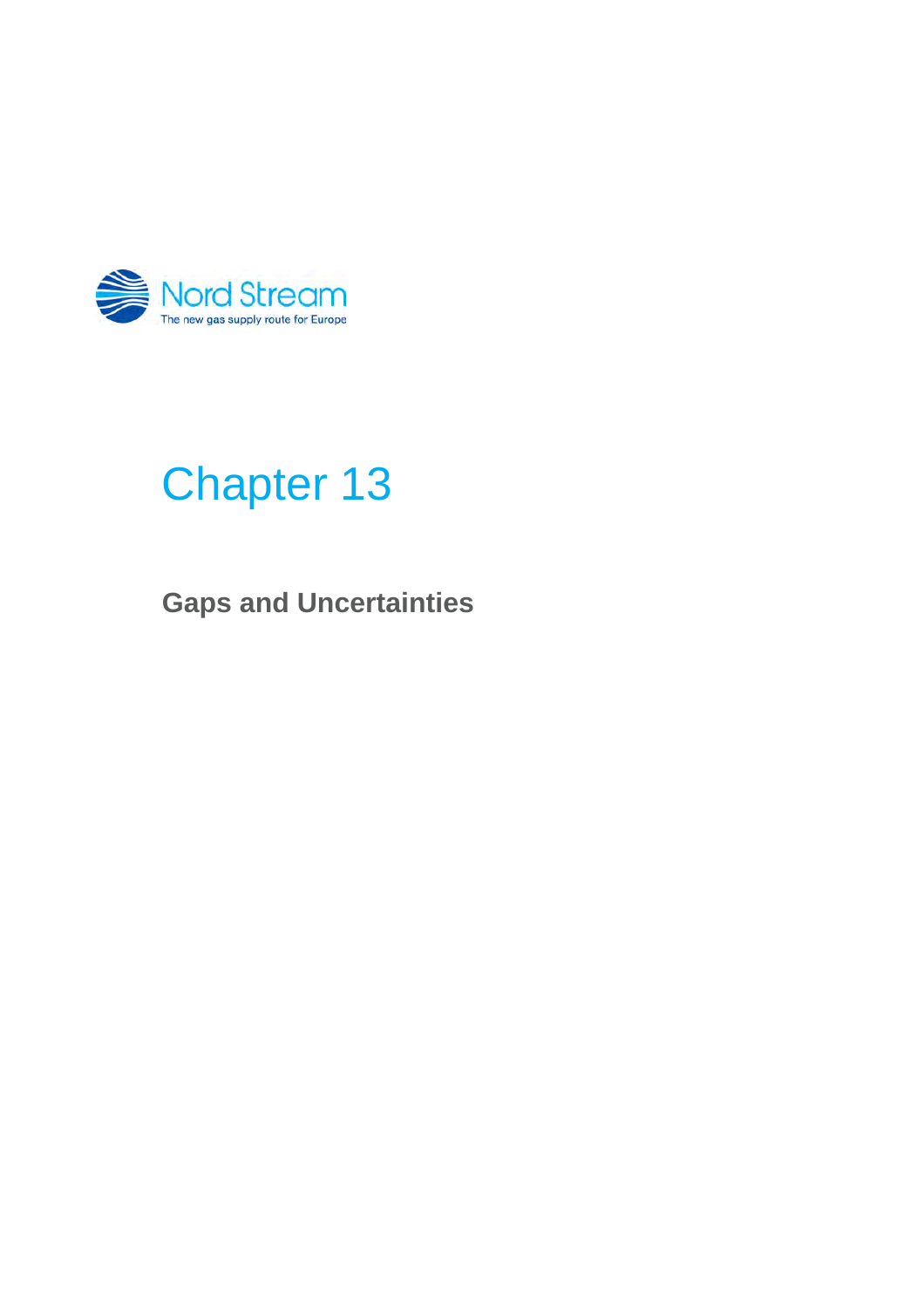

# Chapter 13

**Gaps and Uncertainties**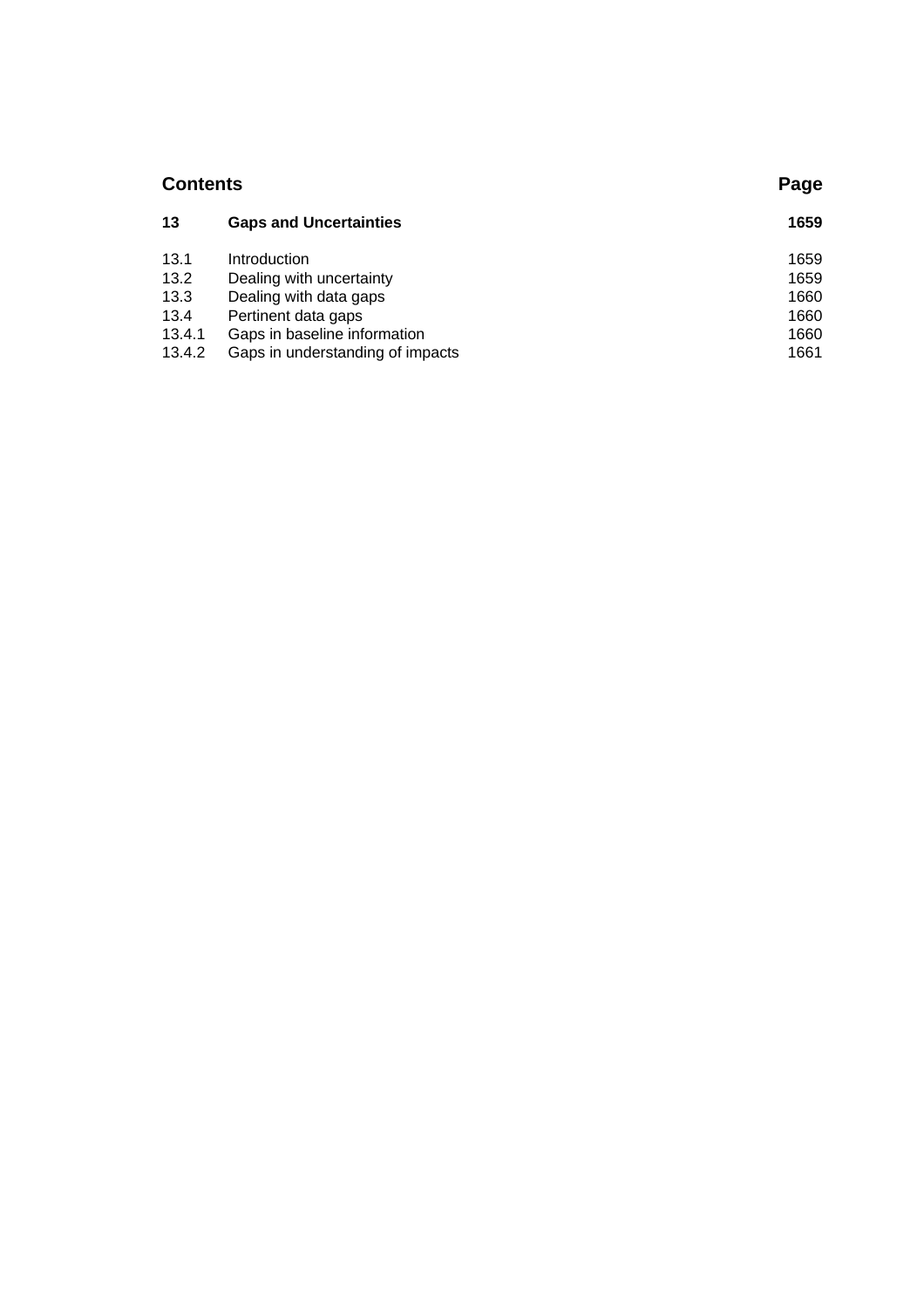| <b>Contents</b> |                                  | Page |
|-----------------|----------------------------------|------|
| 13              | <b>Gaps and Uncertainties</b>    | 1659 |
| 13.1            | Introduction                     | 1659 |
| 13.2            | Dealing with uncertainty         | 1659 |
| 13.3            | Dealing with data gaps           | 1660 |
| 13.4            | Pertinent data gaps              | 1660 |
| 13.4.1          | Gaps in baseline information     | 1660 |
| 13.4.2          | Gaps in understanding of impacts | 1661 |
|                 |                                  |      |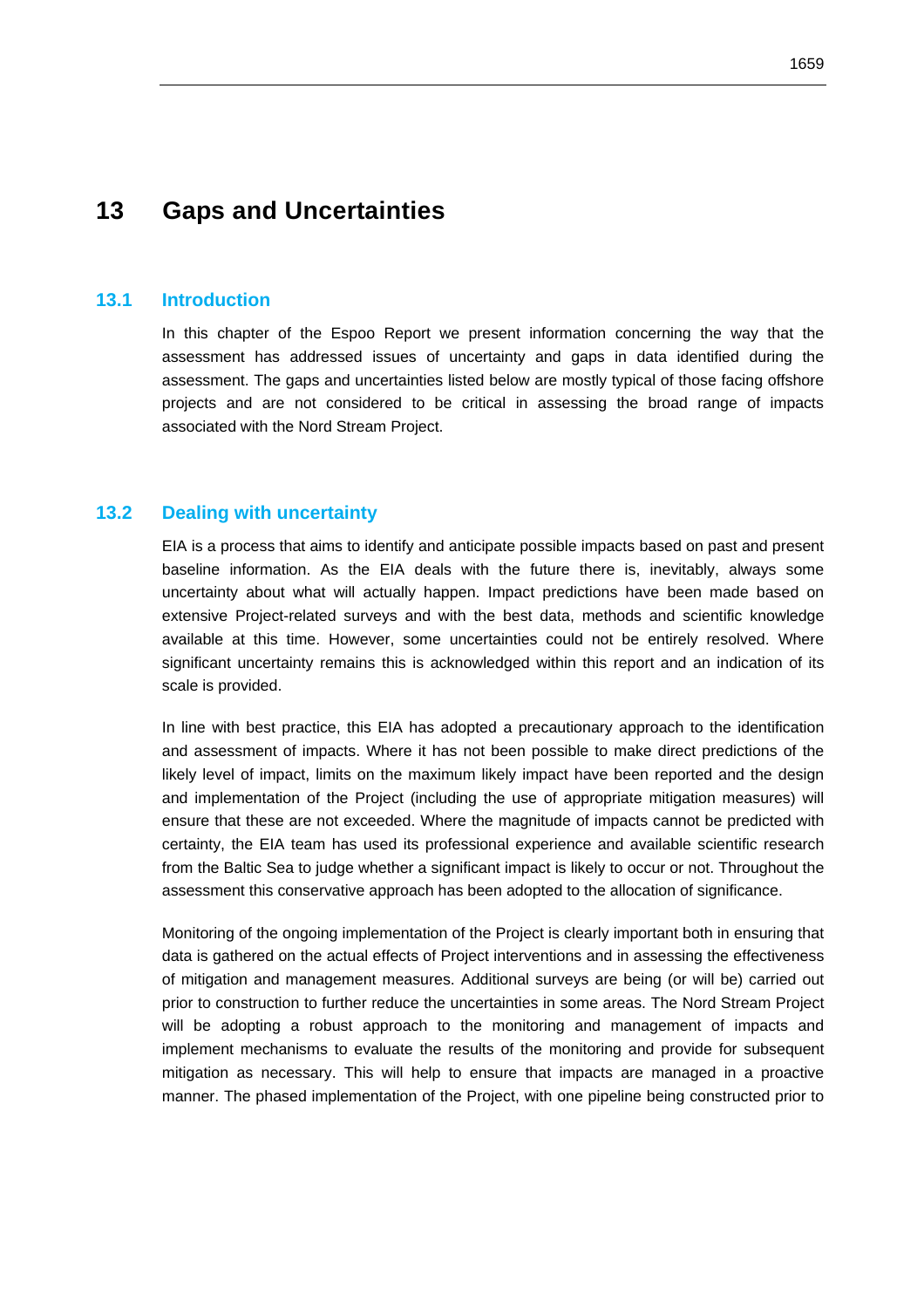# **13 Gaps and Uncertainties**

## **13.1 Introduction**

In this chapter of the Espoo Report we present information concerning the way that the assessment has addressed issues of uncertainty and gaps in data identified during the assessment. The gaps and uncertainties listed below are mostly typical of those facing offshore projects and are not considered to be critical in assessing the broad range of impacts associated with the Nord Stream Project.

## **13.2 Dealing with uncertainty**

EIA is a process that aims to identify and anticipate possible impacts based on past and present baseline information. As the EIA deals with the future there is, inevitably, always some uncertainty about what will actually happen. Impact predictions have been made based on extensive Project-related surveys and with the best data, methods and scientific knowledge available at this time. However, some uncertainties could not be entirely resolved. Where significant uncertainty remains this is acknowledged within this report and an indication of its scale is provided.

In line with best practice, this EIA has adopted a precautionary approach to the identification and assessment of impacts. Where it has not been possible to make direct predictions of the likely level of impact, limits on the maximum likely impact have been reported and the design and implementation of the Project (including the use of appropriate mitigation measures) will ensure that these are not exceeded. Where the magnitude of impacts cannot be predicted with certainty, the EIA team has used its professional experience and available scientific research from the Baltic Sea to judge whether a significant impact is likely to occur or not. Throughout the assessment this conservative approach has been adopted to the allocation of significance.

Monitoring of the ongoing implementation of the Project is clearly important both in ensuring that data is gathered on the actual effects of Project interventions and in assessing the effectiveness of mitigation and management measures. Additional surveys are being (or will be) carried out prior to construction to further reduce the uncertainties in some areas. The Nord Stream Project will be adopting a robust approach to the monitoring and management of impacts and implement mechanisms to evaluate the results of the monitoring and provide for subsequent mitigation as necessary. This will help to ensure that impacts are managed in a proactive manner. The phased implementation of the Project, with one pipeline being constructed prior to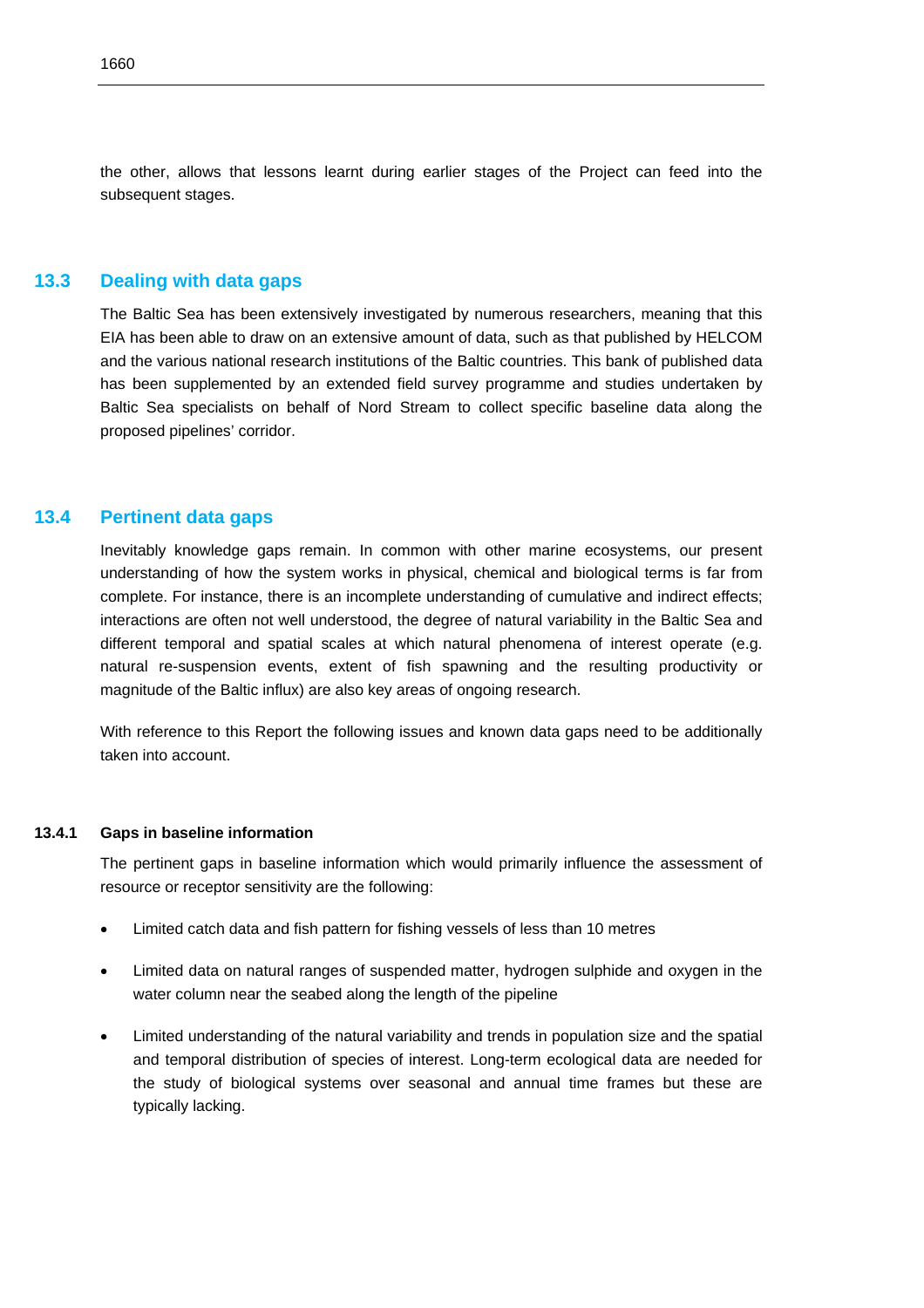the other, allows that lessons learnt during earlier stages of the Project can feed into the subsequent stages.

# **13.3 Dealing with data gaps**

The Baltic Sea has been extensively investigated by numerous researchers, meaning that this EIA has been able to draw on an extensive amount of data, such as that published by HELCOM and the various national research institutions of the Baltic countries. This bank of published data has been supplemented by an extended field survey programme and studies undertaken by Baltic Sea specialists on behalf of Nord Stream to collect specific baseline data along the proposed pipelines' corridor.

## **13.4 Pertinent data gaps**

Inevitably knowledge gaps remain. In common with other marine ecosystems, our present understanding of how the system works in physical, chemical and biological terms is far from complete. For instance, there is an incomplete understanding of cumulative and indirect effects; interactions are often not well understood, the degree of natural variability in the Baltic Sea and different temporal and spatial scales at which natural phenomena of interest operate (e.g. natural re-suspension events, extent of fish spawning and the resulting productivity or magnitude of the Baltic influx) are also key areas of ongoing research.

With reference to this Report the following issues and known data gaps need to be additionally taken into account.

#### **13.4.1 Gaps in baseline information**

The pertinent gaps in baseline information which would primarily influence the assessment of resource or receptor sensitivity are the following:

- Limited catch data and fish pattern for fishing vessels of less than 10 metres
- Limited data on natural ranges of suspended matter, hydrogen sulphide and oxygen in the water column near the seabed along the length of the pipeline
- Limited understanding of the natural variability and trends in population size and the spatial and temporal distribution of species of interest. Long-term ecological data are needed for the study of biological systems over seasonal and annual time frames but these are typically lacking.